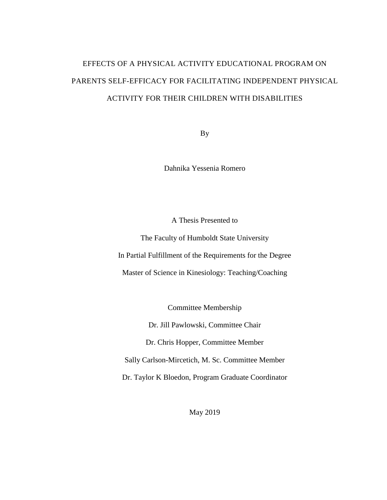# EFFECTS OF A PHYSICAL ACTIVITY EDUCATIONAL PROGRAM ON PARENTS SELF-EFFICACY FOR FACILITATING INDEPENDENT PHYSICAL ACTIVITY FOR THEIR CHILDREN WITH DISABILITIES

By

Dahnika Yessenia Romero

A Thesis Presented to

The Faculty of Humboldt State University In Partial Fulfillment of the Requirements for the Degree Master of Science in Kinesiology: Teaching/Coaching

Committee Membership

Dr. Jill Pawlowski, Committee Chair

Dr. Chris Hopper, Committee Member

Sally Carlson-Mircetich, M. Sc. Committee Member

Dr. Taylor K Bloedon, Program Graduate Coordinator

May 2019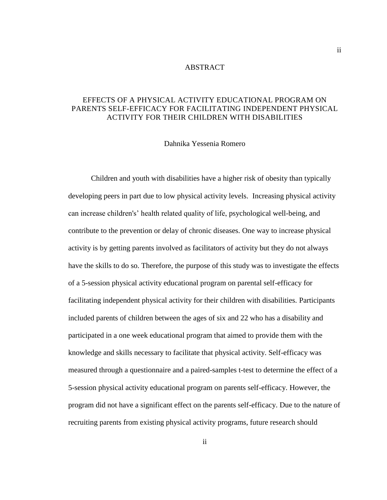#### ABSTRACT

# <span id="page-1-0"></span>EFFECTS OF A PHYSICAL ACTIVITY EDUCATIONAL PROGRAM ON PARENTS SELF-EFFICACY FOR FACILITATING INDEPENDENT PHYSICAL ACTIVITY FOR THEIR CHILDREN WITH DISABILITIES

Dahnika Yessenia Romero

Children and youth with disabilities have a higher risk of obesity than typically developing peers in part due to low physical activity levels. Increasing physical activity can increase children's' health related quality of life, psychological well-being, and contribute to the prevention or delay of chronic diseases. One way to increase physical activity is by getting parents involved as facilitators of activity but they do not always have the skills to do so. Therefore, the purpose of this study was to investigate the effects of a 5-session physical activity educational program on parental self-efficacy for facilitating independent physical activity for their children with disabilities. Participants included parents of children between the ages of six and 22 who has a disability and participated in a one week educational program that aimed to provide them with the knowledge and skills necessary to facilitate that physical activity. Self-efficacy was measured through a questionnaire and a paired-samples t-test to determine the effect of a 5-session physical activity educational program on parents self-efficacy. However, the program did not have a significant effect on the parents self-efficacy. Due to the nature of recruiting parents from existing physical activity programs, future research should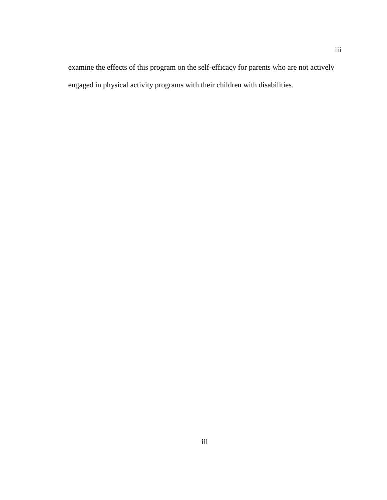examine the effects of this program on the self-efficacy for parents who are not actively engaged in physical activity programs with their children with disabilities.

iii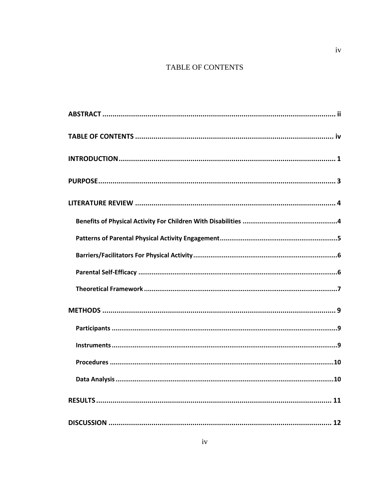# TABLE OF CONTENTS

<span id="page-3-0"></span>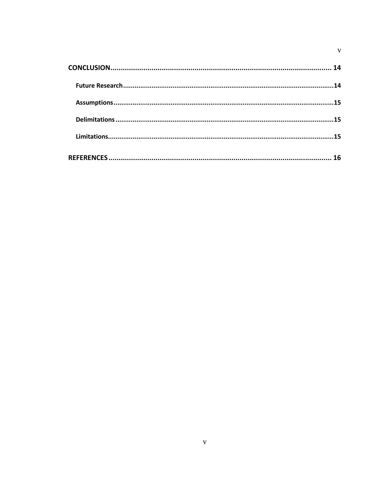<span id="page-4-0"></span>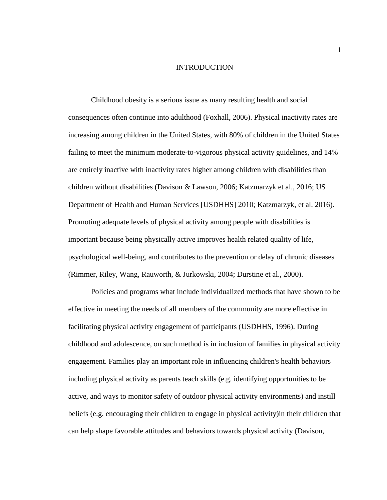#### INTRODUCTION

Childhood obesity is a serious issue as many resulting health and social consequences often continue into adulthood (Foxhall, 2006). Physical inactivity rates are increasing among children in the United States, with 80% of children in the United States failing to meet the minimum moderate-to-vigorous physical activity guidelines, and 14% are entirely inactive with inactivity rates higher among children with disabilities than children without disabilities (Davison & Lawson, 2006; Katzmarzyk et al., 2016; US Department of Health and Human Services [USDHHS] 2010; Katzmarzyk, et al. 2016). Promoting adequate levels of physical activity among people with disabilities is important because being physically active improves health related quality of life, psychological well-being, and contributes to the prevention or delay of chronic diseases (Rimmer, Riley, Wang, Rauworth, & Jurkowski, 2004; Durstine et al., 2000).

Policies and programs what include individualized methods that have shown to be effective in meeting the needs of all members of the community are more effective in facilitating physical activity engagement of participants (USDHHS, 1996). During childhood and adolescence, on such method is in inclusion of families in physical activity engagement. Families play an important role in influencing children's health behaviors including physical activity as parents teach skills (e.g. identifying opportunities to be active, and ways to monitor safety of outdoor physical activity environments) and instill beliefs (e.g. encouraging their children to engage in physical activity)in their children that can help shape favorable attitudes and behaviors towards physical activity (Davison,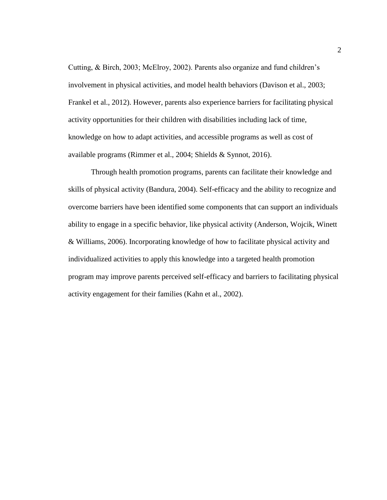Cutting, & Birch, 2003; McElroy, 2002). Parents also organize and fund children's involvement in physical activities, and model health behaviors (Davison et al., 2003; Frankel et al., 2012). However, parents also experience barriers for facilitating physical activity opportunities for their children with disabilities including lack of time, knowledge on how to adapt activities, and accessible programs as well as cost of available programs (Rimmer et al., 2004; Shields & Synnot, 2016).

Through health promotion programs, parents can facilitate their knowledge and skills of physical activity (Bandura, 2004). Self-efficacy and the ability to recognize and overcome barriers have been identified some components that can support an individuals ability to engage in a specific behavior, like physical activity (Anderson, Wojcik, Winett & Williams, 2006). Incorporating knowledge of how to facilitate physical activity and individualized activities to apply this knowledge into a targeted health promotion program may improve parents perceived self-efficacy and barriers to facilitating physical activity engagement for their families (Kahn et al., 2002).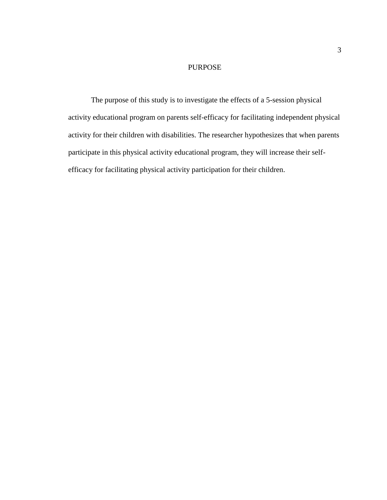# PURPOSE

<span id="page-7-1"></span><span id="page-7-0"></span>The purpose of this study is to investigate the effects of a 5-session physical activity educational program on parents self-efficacy for facilitating independent physical activity for their children with disabilities. The researcher hypothesizes that when parents participate in this physical activity educational program, they will increase their selfefficacy for facilitating physical activity participation for their children.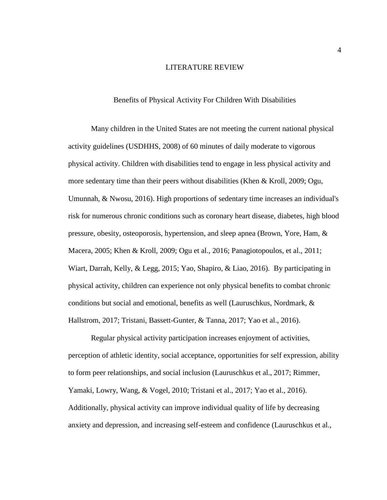#### LITERATURE REVIEW

#### Benefits of Physical Activity For Children With Disabilities

<span id="page-8-0"></span>Many children in the United States are not meeting the current national physical activity guidelines (USDHHS, 2008) of 60 minutes of daily moderate to vigorous physical activity. Children with disabilities tend to engage in less physical activity and more sedentary time than their peers without disabilities (Khen  $\&$  Kroll, 2009; Ogu, Umunnah, & Nwosu, 2016). High proportions of sedentary time increases an individual's risk for numerous chronic conditions such as coronary heart disease, diabetes, high blood pressure, obesity, osteoporosis, hypertension, and sleep apnea (Brown, Yore, Ham, & Macera, 2005; Khen & Kroll, 2009; Ogu et al., 2016; Panagiotopoulos, et al., 2011; Wiart, Darrah, Kelly, & Legg, 2015; Yao, Shapiro, & Liao, 2016). By participating in physical activity, children can experience not only physical benefits to combat chronic conditions but social and emotional, benefits as well (Lauruschkus, Nordmark, & Hallstrom, 2017; Tristani, Bassett-Gunter, & Tanna, 2017; Yao et al., 2016).

Regular physical activity participation increases enjoyment of activities, perception of athletic identity, social acceptance, opportunities for self expression, ability to form peer relationships, and social inclusion (Lauruschkus et al., 2017; Rimmer, Yamaki, Lowry, Wang, & Vogel, 2010; Tristani et al., 2017; Yao et al., 2016). Additionally, physical activity can improve individual quality of life by decreasing anxiety and depression, and increasing self-esteem and confidence (Lauruschkus et al.,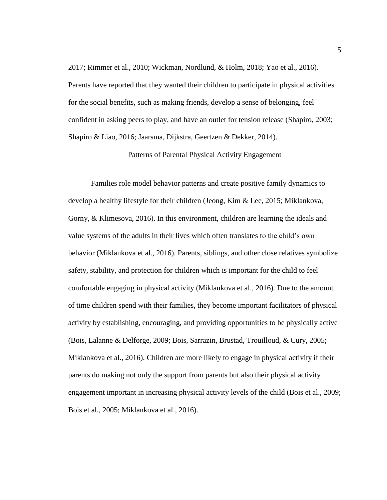2017; Rimmer et al., 2010; Wickman, Nordlund, & Holm, 2018; Yao et al., 2016). Parents have reported that they wanted their children to participate in physical activities for the social benefits, such as making friends, develop a sense of belonging, feel confident in asking peers to play, and have an outlet for tension release (Shapiro, 2003; Shapiro & Liao, 2016; Jaarsma, Dijkstra, Geertzen & Dekker, 2014).

Patterns of Parental Physical Activity Engagement

<span id="page-9-0"></span>Families role model behavior patterns and create positive family dynamics to develop a healthy lifestyle for their children (Jeong, Kim & Lee, 2015; Miklankova, Gorny, & Klimesova, 2016). In this environment, children are learning the ideals and value systems of the adults in their lives which often translates to the child's own behavior (Miklankova et al., 2016). Parents, siblings, and other close relatives symbolize safety, stability, and protection for children which is important for the child to feel comfortable engaging in physical activity (Miklankova et al., 2016). Due to the amount of time children spend with their families, they become important facilitators of physical activity by establishing, encouraging, and providing opportunities to be physically active (Bois, Lalanne & Delforge, 2009; Bois, Sarrazin, Brustad, Trouilloud, & Cury, 2005; Miklankova et al., 2016). Children are more likely to engage in physical activity if their parents do making not only the support from parents but also their physical activity engagement important in increasing physical activity levels of the child (Bois et al., 2009; Bois et al., 2005; Miklankova et al., 2016).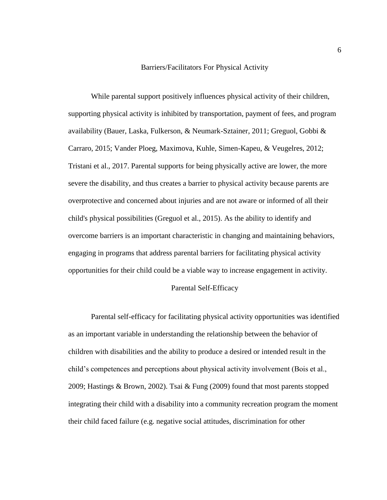#### Barriers/Facilitators For Physical Activity

<span id="page-10-0"></span>While parental support positively influences physical activity of their children, supporting physical activity is inhibited by transportation, payment of fees, and program availability (Bauer, Laska, Fulkerson, & Neumark-Sztainer, 2011; Greguol, Gobbi & Carraro, 2015; Vander Ploeg, Maximova, Kuhle, Simen-Kapeu, & Veugelres, 2012; Tristani et al., 2017. Parental supports for being physically active are lower, the more severe the disability, and thus creates a barrier to physical activity because parents are overprotective and concerned about injuries and are not aware or informed of all their child's physical possibilities (Greguol et al., 2015). As the ability to identify and overcome barriers is an important characteristic in changing and maintaining behaviors, engaging in programs that address parental barriers for facilitating physical activity opportunities for their child could be a viable way to increase engagement in activity.

#### Parental Self-Efficacy

<span id="page-10-1"></span>Parental self-efficacy for facilitating physical activity opportunities was identified as an important variable in understanding the relationship between the behavior of children with disabilities and the ability to produce a desired or intended result in the child's competences and perceptions about physical activity involvement (Bois et al., 2009; Hastings & Brown, 2002). Tsai & Fung (2009) found that most parents stopped integrating their child with a disability into a community recreation program the moment their child faced failure (e.g. negative social attitudes, discrimination for other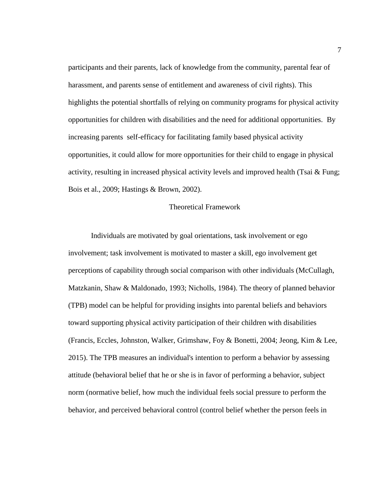participants and their parents, lack of knowledge from the community, parental fear of harassment, and parents sense of entitlement and awareness of civil rights). This highlights the potential shortfalls of relying on community programs for physical activity opportunities for children with disabilities and the need for additional opportunities. By increasing parents self-efficacy for facilitating family based physical activity opportunities, it could allow for more opportunities for their child to engage in physical activity, resulting in increased physical activity levels and improved health (Tsai & Fung; Bois et al., 2009; Hastings & Brown, 2002).

#### Theoretical Framework

<span id="page-11-0"></span>Individuals are motivated by goal orientations, task involvement or ego involvement; task involvement is motivated to master a skill, ego involvement get perceptions of capability through social comparison with other individuals (McCullagh, Matzkanin, Shaw & Maldonado, 1993; Nicholls, 1984). The theory of planned behavior (TPB) model can be helpful for providing insights into parental beliefs and behaviors toward supporting physical activity participation of their children with disabilities (Francis, Eccles, Johnston, Walker, Grimshaw, Foy & Bonetti, 2004; Jeong, Kim & Lee, 2015). The TPB measures an individual's intention to perform a behavior by assessing attitude (behavioral belief that he or she is in favor of performing a behavior, subject norm (normative belief, how much the individual feels social pressure to perform the behavior, and perceived behavioral control (control belief whether the person feels in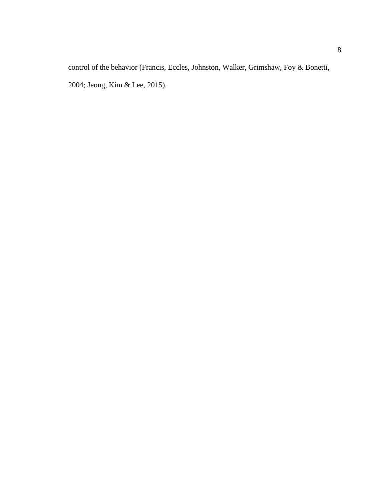control of the behavior (Francis, Eccles, Johnston, Walker, Grimshaw, Foy & Bonetti, 2004; Jeong, Kim & Lee, 2015).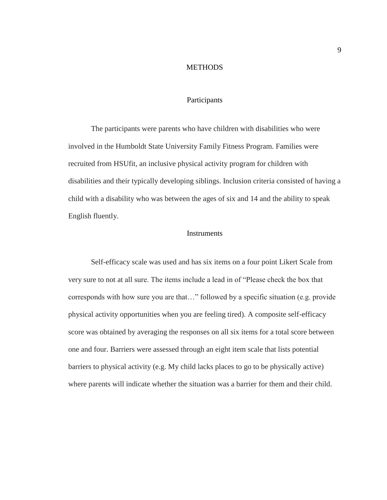## **METHODS**

#### Participants

<span id="page-13-1"></span><span id="page-13-0"></span>The participants were parents who have children with disabilities who were involved in the Humboldt State University Family Fitness Program. Families were recruited from HSUfit, an inclusive physical activity program for children with disabilities and their typically developing siblings. Inclusion criteria consisted of having a child with a disability who was between the ages of six and 14 and the ability to speak English fluently.

#### Instruments

<span id="page-13-3"></span><span id="page-13-2"></span>Self-efficacy scale was used and has six items on a four point Likert Scale from very sure to not at all sure. The items include a lead in of "Please check the box that corresponds with how sure you are that…" followed by a specific situation (e.g. provide physical activity opportunities when you are feeling tired). A composite self-efficacy score was obtained by averaging the responses on all six items for a total score between one and four. Barriers were assessed through an eight item scale that lists potential barriers to physical activity (e.g. My child lacks places to go to be physically active) where parents will indicate whether the situation was a barrier for them and their child.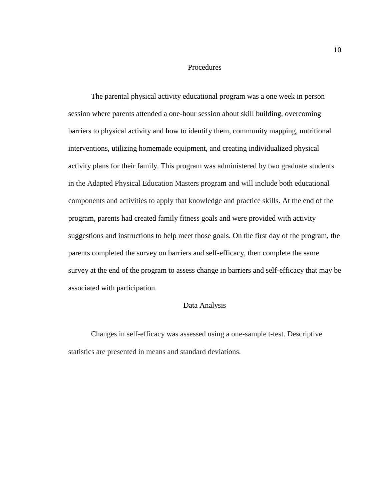#### Procedures

The parental physical activity educational program was a one week in person session where parents attended a one-hour session about skill building, overcoming barriers to physical activity and how to identify them, community mapping, nutritional interventions, utilizing homemade equipment, and creating individualized physical activity plans for their family. This program was administered by two graduate students in the Adapted Physical Education Masters program and will include both educational components and activities to apply that knowledge and practice skills. At the end of the program, parents had created family fitness goals and were provided with activity suggestions and instructions to help meet those goals. On the first day of the program, the parents completed the survey on barriers and self-efficacy, then complete the same survey at the end of the program to assess change in barriers and self-efficacy that may be associated with participation.

#### Data Analysis

<span id="page-14-0"></span>Changes in self-efficacy was assessed using a one-sample t-test. Descriptive statistics are presented in means and standard deviations.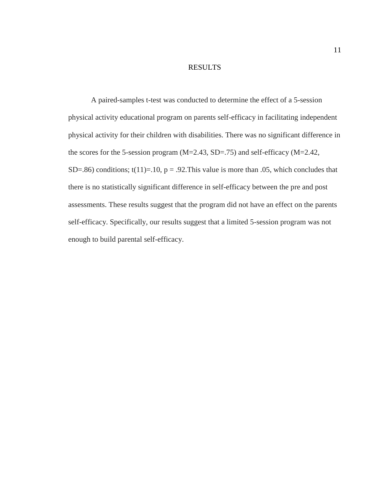### RESULTS

<span id="page-15-0"></span>A paired-samples t-test was conducted to determine the effect of a 5-session physical activity educational program on parents self-efficacy in facilitating independent physical activity for their children with disabilities. There was no significant difference in the scores for the 5-session program (M=2.43, SD=.75) and self-efficacy (M=2.42, SD=.86) conditions;  $t(11)=.10$ ,  $p = .92$ . This value is more than .05, which concludes that there is no statistically significant difference in self-efficacy between the pre and post assessments. These results suggest that the program did not have an effect on the parents self-efficacy. Specifically, our results suggest that a limited 5-session program was not enough to build parental self-efficacy.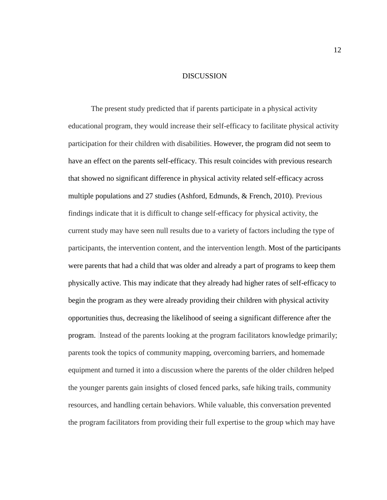#### DISCUSSION

<span id="page-16-0"></span>The present study predicted that if parents participate in a physical activity educational program, they would increase their self-efficacy to facilitate physical activity participation for their children with disabilities. However, the program did not seem to have an effect on the parents self-efficacy. This result coincides with previous research that showed no significant difference in physical activity related self-efficacy across multiple populations and 27 studies (Ashford, Edmunds, & French, 2010). Previous findings indicate that it is difficult to change self-efficacy for physical activity, the current study may have seen null results due to a variety of factors including the type of participants, the intervention content, and the intervention length. Most of the participants were parents that had a child that was older and already a part of programs to keep them physically active. This may indicate that they already had higher rates of self-efficacy to begin the program as they were already providing their children with physical activity opportunities thus, decreasing the likelihood of seeing a significant difference after the program. Instead of the parents looking at the program facilitators knowledge primarily; parents took the topics of community mapping, overcoming barriers, and homemade equipment and turned it into a discussion where the parents of the older children helped the younger parents gain insights of closed fenced parks, safe hiking trails, community resources, and handling certain behaviors. While valuable, this conversation prevented the program facilitators from providing their full expertise to the group which may have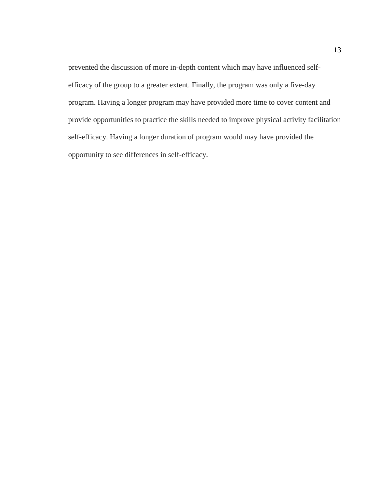prevented the discussion of more in-depth content which may have influenced selfefficacy of the group to a greater extent. Finally, the program was only a five-day program. Having a longer program may have provided more time to cover content and provide opportunities to practice the skills needed to improve physical activity facilitation self-efficacy. Having a longer duration of program would may have provided the opportunity to see differences in self-efficacy.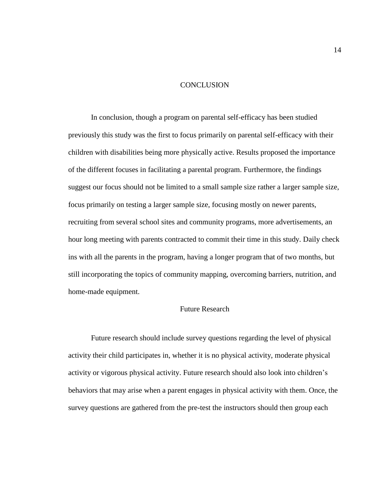#### **CONCLUSION**

<span id="page-18-0"></span>In conclusion, though a program on parental self-efficacy has been studied previously this study was the first to focus primarily on parental self-efficacy with their children with disabilities being more physically active. Results proposed the importance of the different focuses in facilitating a parental program. Furthermore, the findings suggest our focus should not be limited to a small sample size rather a larger sample size, focus primarily on testing a larger sample size, focusing mostly on newer parents, recruiting from several school sites and community programs, more advertisements, an hour long meeting with parents contracted to commit their time in this study. Daily check ins with all the parents in the program, having a longer program that of two months, but still incorporating the topics of community mapping, overcoming barriers, nutrition, and home-made equipment.

# Future Research

<span id="page-18-1"></span>Future research should include survey questions regarding the level of physical activity their child participates in, whether it is no physical activity, moderate physical activity or vigorous physical activity. Future research should also look into children's behaviors that may arise when a parent engages in physical activity with them. Once, the survey questions are gathered from the pre-test the instructors should then group each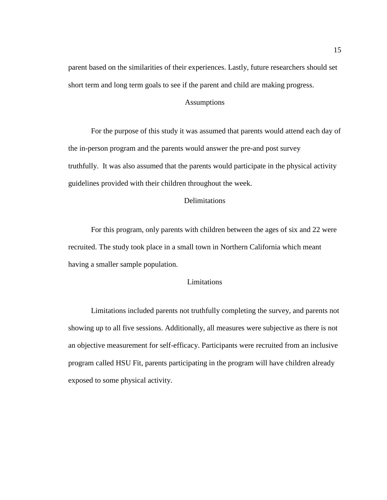parent based on the similarities of their experiences. Lastly, future researchers should set short term and long term goals to see if the parent and child are making progress.

## Assumptions

<span id="page-19-0"></span>For the purpose of this study it was assumed that parents would attend each day of the in-person program and the parents would answer the pre-and post survey truthfully. It was also assumed that the parents would participate in the physical activity guidelines provided with their children throughout the week.

#### **Delimitations**

<span id="page-19-1"></span>For this program, only parents with children between the ages of six and 22 were recruited. The study took place in a small town in Northern California which meant having a smaller sample population.

# Limitations

<span id="page-19-2"></span>Limitations included parents not truthfully completing the survey, and parents not showing up to all five sessions. Additionally, all measures were subjective as there is not an objective measurement for self-efficacy. Participants were recruited from an inclusive program called HSU Fit, parents participating in the program will have children already exposed to some physical activity.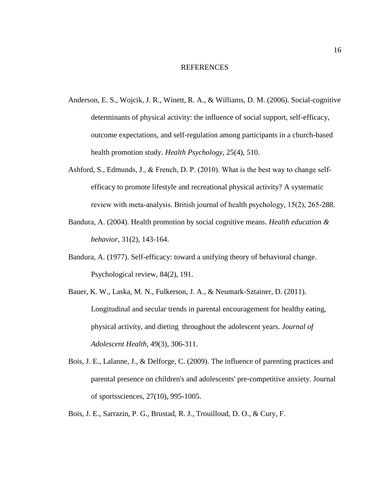#### REFERENCES

- <span id="page-20-0"></span>Anderson, E. S., Wojcik, J. R., Winett, R. A., & Williams, D. M. (2006). Social-cognitive determinants of physical activity: the influence of social support, self-efficacy, outcome expectations, and self-regulation among participants in a church-based health promotion study. *Health Psychology*, 25(4), 510.
- Ashford, S., Edmunds, J., & French, D. P. (2010). What is the best way to change self‐ efficacy to promote lifestyle and recreational physical activity? A systematic review with meta-analysis. British journal of health psychology, 15(2), 265-288.
- Bandura, A. (2004). Health promotion by social cognitive means. *Health education & behavior,* 31(2), 143-164.
- Bandura, A. (1977). Self-efficacy: toward a unifying theory of behavioral change. Psychological review, 84(2), 191.
- Bauer, K. W., Laska, M. N., Fulkerson, J. A., & Neumark-Sztainer, D. (2011). Longitudinal and secular trends in parental encouragement for healthy eating, physical activity, and dieting throughout the adolescent years. *Journal of Adolescent Health*, 49(3), 306-311.
- Bois, J. E., Lalanne, J., & Delforge, C. (2009). The influence of parenting practices and parental presence on children's and adolescents' pre-competitive anxiety. Journal of sportssciences, 27(10), 995-1005.
- Bois, J. E., Sarrazin, P. G., Brustad, R. J., Trouilloud, D. O., & Cury, F.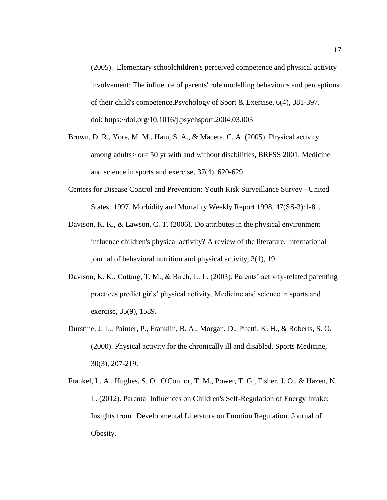(2005). Elementary schoolchildren's perceived competence and physical activity involvement: The influence of parents' role modelling behaviours and perceptions of their child's competence.Psychology of Sport & Exercise, 6(4), 381-397. doi: https://doi.org/10.1016/j.psychsport.2004.03.003

- Brown, D. R., Yore, M. M., Ham, S. A., & Macera, C. A. (2005). Physical activity among adults> or= 50 yr with and without disabilities, BRFSS 2001. Medicine and science in sports and exercise, 37(4), 620-629.
- Centers for Disease Control and Prevention: Youth Risk Surveillance Survey United States, 1997. Morbidity and Mortality Weekly Report 1998, 47(SS-3):1-8 .
- Davison, K. K., & Lawson, C. T. (2006). Do attributes in the physical environment influence children's physical activity? A review of the literature. International journal of behavioral nutrition and physical activity, 3(1), 19.
- Davison, K. K., Cutting, T. M., & Birch, L. L. (2003). Parents' activity-related parenting practices predict girls' physical activity. Medicine and science in sports and exercise, 35(9), 1589.
- Durstine, J. L., Painter, P., Franklin, B. A., Morgan, D., Pitetti, K. H., & Roberts, S. O. (2000). Physical activity for the chronically ill and disabled. Sports Medicine, 30(3), 207-219.
- Frankel, L. A., Hughes, S. O., O'Connor, T. M., Power, T. G., Fisher, J. O., & Hazen, N. L. (2012). Parental Influences on Children's Self-Regulation of Energy Intake: Insights from Developmental Literature on Emotion Regulation. Journal of Obesity.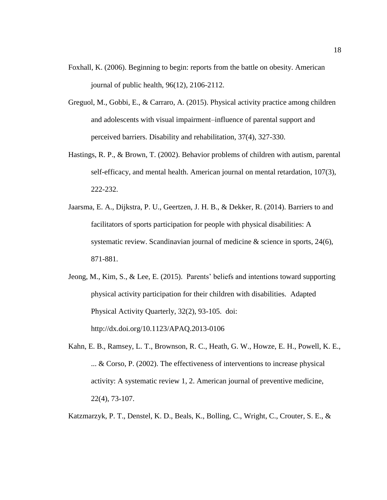- Foxhall, K. (2006). Beginning to begin: reports from the battle on obesity. American journal of public health, 96(12), 2106-2112.
- Greguol, M., Gobbi, E., & Carraro, A. (2015). Physical activity practice among children and adolescents with visual impairment–influence of parental support and perceived barriers. Disability and rehabilitation, 37(4), 327-330.
- Hastings, R. P., & Brown, T. (2002). Behavior problems of children with autism, parental self-efficacy, and mental health. American journal on mental retardation, 107(3), 222-232.
- Jaarsma, E. A., Dijkstra, P. U., Geertzen, J. H. B., & Dekker, R. (2014). Barriers to and facilitators of sports participation for people with physical disabilities: A systematic review. Scandinavian journal of medicine & science in sports, 24(6), 871-881.
- Jeong, M., Kim, S., & Lee, E. (2015). Parents' beliefs and intentions toward supporting physical activity participation for their children with disabilities. Adapted Physical Activity Quarterly, 32(2), 93-105. doi: http://dx.doi.org/10.1123/APAQ.2013-0106
- Kahn, E. B., Ramsey, L. T., Brownson, R. C., Heath, G. W., Howze, E. H., Powell, K. E., ... & Corso, P. (2002). The effectiveness of interventions to increase physical activity: A systematic review 1, 2. American journal of preventive medicine, 22(4), 73-107.

Katzmarzyk, P. T., Denstel, K. D., Beals, K., Bolling, C., Wright, C., Crouter, S. E., &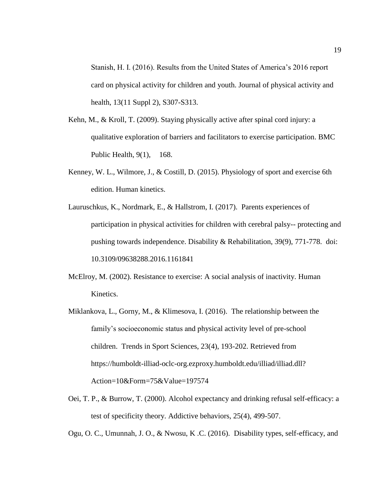Stanish, H. I. (2016). Results from the United States of America's 2016 report card on physical activity for children and youth. Journal of physical activity and health, 13(11 Suppl 2), S307-S313.

- Kehn, M., & Kroll, T. (2009). Staying physically active after spinal cord injury: a qualitative exploration of barriers and facilitators to exercise participation. BMC Public Health, 9(1), 168.
- Kenney, W. L., Wilmore, J., & Costill, D. (2015). Physiology of sport and exercise 6th edition. Human kinetics.
- Lauruschkus, K., Nordmark, E., & Hallstrom, I. (2017). Parents experiences of participation in physical activities for children with cerebral palsy-- protecting and pushing towards independence. Disability & Rehabilitation, 39(9), 771-778. doi: 10.3109/09638288.2016.1161841
- McElroy, M. (2002). Resistance to exercise: A social analysis of inactivity. Human Kinetics.
- Miklankova, L., Gorny, M., & Klimesova, I. (2016). The relationship between the family's socioeconomic status and physical activity level of pre-school children. Trends in Sport Sciences, 23(4), 193-202. Retrieved from https://humboldt-illiad-oclc-org.ezproxy.humboldt.edu/illiad/illiad.dll? Action=10&Form=75&Value=197574
- Oei, T. P., & Burrow, T. (2000). Alcohol expectancy and drinking refusal self-efficacy: a test of specificity theory. Addictive behaviors, 25(4), 499-507.

Ogu, O. C., Umunnah, J. O., & Nwosu, K .C. (2016). Disability types, self-efficacy, and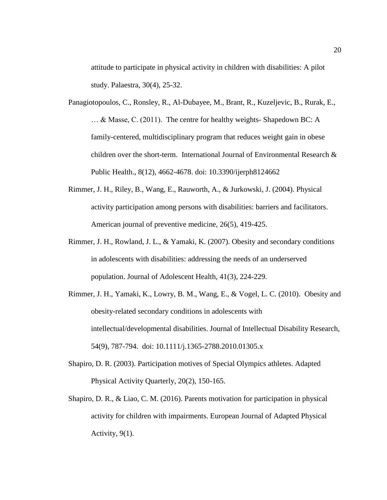attitude to participate in physical activity in children with disabilities: A pilot study. Palaestra, 30(4), 25-32.

- Panagiotopoulos, C., Ronsley, R., Al-Dubayee, M., Brant, R., Kuzeljevic, B., Rurak, E., … & Masse, C. (2011). The centre for healthy weights- Shapedown BC: A family-centered, multidisciplinary program that reduces weight gain in obese children over the short-term. International Journal of Environmental Research & Public Health., 8(12), 4662-4678. doi: 10.3390/ijerph8124662
- Rimmer, J. H., Riley, B., Wang, E., Rauworth, A., & Jurkowski, J. (2004). Physical activity participation among persons with disabilities: barriers and facilitators. American journal of preventive medicine, 26(5), 419-425.
- Rimmer, J. H., Rowland, J. L., & Yamaki, K. (2007). Obesity and secondary conditions in adolescents with disabilities: addressing the needs of an underserved population. Journal of Adolescent Health, 41(3), 224-229.
- Rimmer, J. H., Yamaki, K., Lowry, B. M., Wang, E., & Vogel, L. C. (2010). Obesity and obesity-related secondary conditions in adolescents with intellectual/developmental disabilities. Journal of Intellectual Disability Research, 54(9), 787-794. doi: 10.1111/j.1365-2788.2010.01305.x
- Shapiro, D. R. (2003). Participation motives of Special Olympics athletes. Adapted Physical Activity Quarterly, 20(2), 150-165.
- Shapiro, D. R., & Liao, C. M. (2016). Parents motivation for participation in physical activity for children with impairments. European Journal of Adapted Physical Activity, 9(1).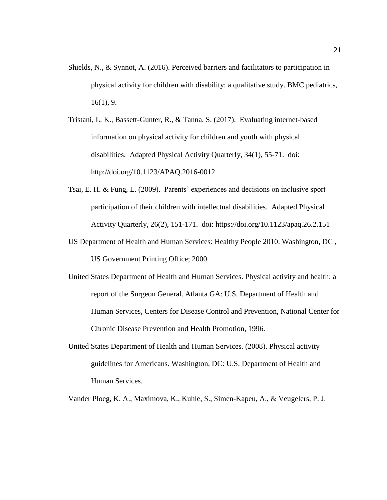- Shields, N., & Synnot, A. (2016). Perceived barriers and facilitators to participation in physical activity for children with disability: a qualitative study. BMC pediatrics, 16(1), 9.
- Tristani, L. K., Bassett-Gunter, R., & Tanna, S. (2017). Evaluating internet-based information on physical activity for children and youth with physical disabilities. Adapted Physical Activity Quarterly, 34(1), 55-71. doi: http://doi.org/10.1123/APAQ.2016-0012
- Tsai, E. H. & Fung, L. (2009). Parents' experiences and decisions on inclusive sport participation of their children with intellectual disabilities. Adapted Physical Activity Quarterly, 26(2), 151-171. doi: https://doi.org/10.1123/apaq.26.2.151
- US Department of Health and Human Services: Healthy People 2010. Washington, DC , US Government Printing Office; 2000.
- United States Department of Health and Human Services. Physical activity and health: a report of the Surgeon General. Atlanta GA: U.S. Department of Health and Human Services, Centers for Disease Control and Prevention, National Center for Chronic Disease Prevention and Health Promotion, 1996.
- United States Department of Health and Human Services. (2008). Physical activity guidelines for Americans. Washington, DC: U.S. Department of Health and Human Services.

Vander Ploeg, K. A., Maximova, K., Kuhle, S., Simen-Kapeu, A., & Veugelers, P. J.